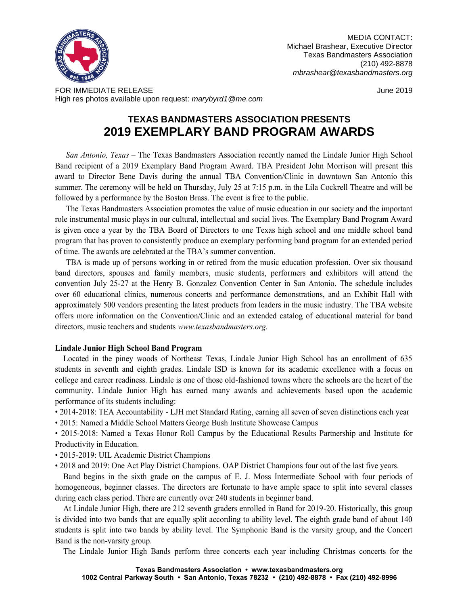

MEDIA CONTACT: Michael Brashear, Executive Director Texas Bandmasters Association (210) 492-8878 *mbrashear@texasbandmasters.org*

FOR IMMEDIATE RELEASE June 2019 High res photos available upon request: *marybyrd1@me.com*

## **TEXAS BANDMASTERS ASSOCIATION PRESENTS 2019 EXEMPLARY BAND PROGRAM AWARDS**

*San Antonio, Texas* – The Texas Bandmasters Association recently named the Lindale Junior High School Band recipient of a 2019 Exemplary Band Program Award. TBA President John Morrison will present this award to Director Bene Davis during the annual TBA Convention/Clinic in downtown San Antonio this summer. The ceremony will be held on Thursday, July 25 at 7:15 p.m. in the Lila Cockrell Theatre and will be followed by a performance by the Boston Brass. The event is free to the public.

The Texas Bandmasters Association promotes the value of music education in our society and the important role instrumental music plays in our cultural, intellectual and social lives. The Exemplary Band Program Award is given once a year by the TBA Board of Directors to one Texas high school and one middle school band program that has proven to consistently produce an exemplary performing band program for an extended period of time. The awards are celebrated at the TBA's summer convention.

TBA is made up of persons working in or retired from the music education profession. Over six thousand band directors, spouses and family members, music students, performers and exhibitors will attend the convention July 25-27 at the Henry B. Gonzalez Convention Center in San Antonio. The schedule includes over 60 educational clinics, numerous concerts and performance demonstrations, and an Exhibit Hall with approximately 500 vendors presenting the latest products from leaders in the music industry. The TBA website offers more information on the Convention/Clinic and an extended catalog of educational material for band directors, music teachers and students *www.texasbandmasters.org.*

## **Lindale Junior High School Band Program**

Located in the piney woods of Northeast Texas, Lindale Junior High School has an enrollment of 635 students in seventh and eighth grades. Lindale ISD is known for its academic excellence with a focus on college and career readiness. Lindale is one of those old-fashioned towns where the schools are the heart of the community. Lindale Junior High has earned many awards and achievements based upon the academic performance of its students including:

• 2014-2018: TEA Accountability - LJH met Standard Rating, earning all seven of seven distinctions each year

• 2015: Named a Middle School Matters George Bush Institute Showcase Campus

• 2015-2018: Named a Texas Honor Roll Campus by the Educational Results Partnership and Institute for Productivity in Education.

• 2015-2019: UIL Academic District Champions

• 2018 and 2019: One Act Play District Champions. OAP District Champions four out of the last five years.

Band begins in the sixth grade on the campus of E. J. Moss Intermediate School with four periods of homogeneous, beginner classes. The directors are fortunate to have ample space to split into several classes during each class period. There are currently over 240 students in beginner band.

At Lindale Junior High, there are 212 seventh graders enrolled in Band for 2019-20. Historically, this group is divided into two bands that are equally split according to ability level. The eighth grade band of about 140 students is split into two bands by ability level. The Symphonic Band is the varsity group, and the Concert Band is the non-varsity group.

The Lindale Junior High Bands perform three concerts each year including Christmas concerts for the